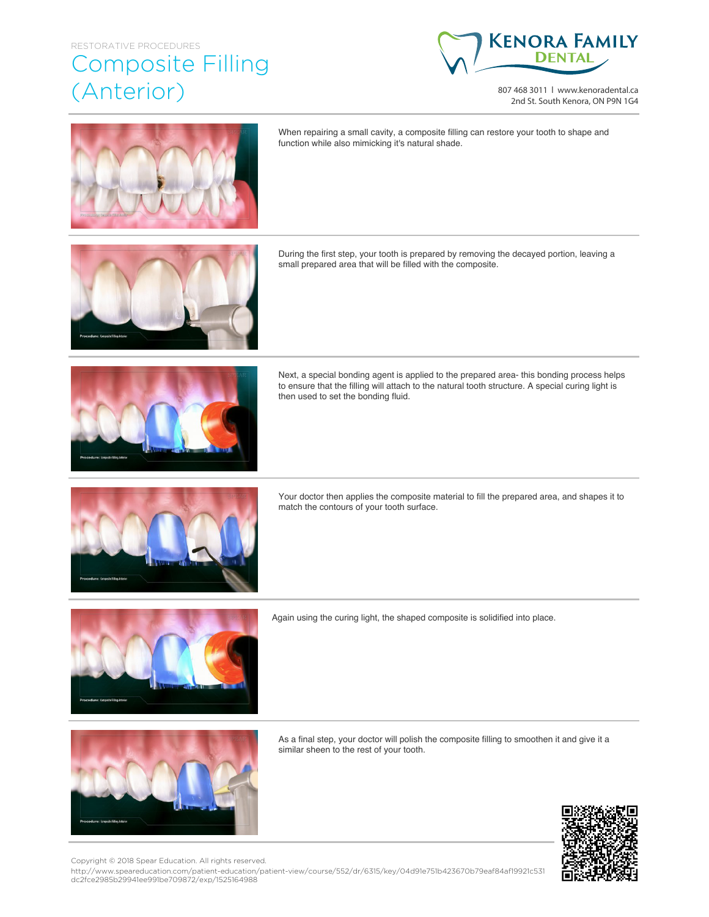## RESTORATIVE PROCEDURES

## Composite Filling (Anterior)



807 468 3011 | www.kenoradental.ca 2nd St. South Kenora, ON P9N 1G4



When repairing a small cavity, a composite filling can restore your tooth to shape and function while also mimicking it's natural shade.

During the first step, your tooth is prepared by removing the decayed portion, leaving a small prepared area that will be filled with the composite.



Next, a special bonding agent is applied to the prepared area- this bonding process helps to ensure that the filling will attach to the natural tooth structure. A special curing light is then used to set the bonding fluid.



Your doctor then applies the composite material to fill the prepared area, and shapes it to match the contours of your tooth surface.



Again using the curing light, the shaped composite is solidified into place.



As a final step, your doctor will polish the composite filling to smoothen it and give it a similar sheen to the rest of your tooth.



Copyright © 2018 Spear Education. All rights reserved.

http://www.speareducation.com/patient-education/patient-view/course/552/dr/6315/key/04d91e751b423670b79eaf84af19921c531 dc2fce2985b29941ee991be709872/exp/1525164988